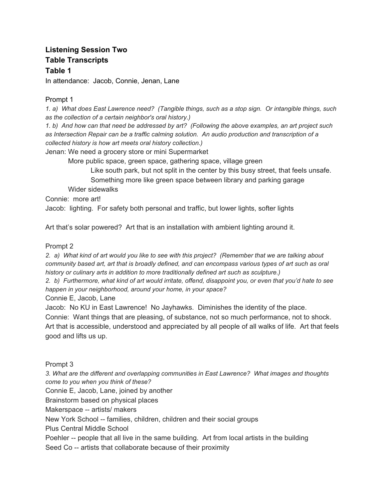## **Listening Session Two Table Transcripts Table 1**

In attendance: Jacob, Connie, Jenan, Lane

## Prompt 1

1. a) What does East Lawrence need? (Tangible things, such as a stop sign. Or intangible things, such *as the collection of a certain neighbor's oral history.)*

1. b) And how can that need be addressed by art? (Following the above examples, an art project such *as Intersection Repair can be a traffic calming solution. An audio production and transcription of a collected history is how art meets oral history collection.)*

Jenan: We need a grocery store or mini Supermarket

More public space, green space, gathering space, village green

Like south park, but not split in the center by this busy street, that feels unsafe.

Something more like green space between library and parking garage

Wider sidewalks

Connie: more art!

Jacob: lighting. For safety both personal and traffic, but lower lights, softer lights

Art that's solar powered? Art that is an installation with ambient lighting around it.

## Prompt 2

2. a) What kind of art would you like to see with this project? (Remember that we are talking about community based art, art that is broadly defined, and can encompass various types of art such as oral *history or culinary arts in addition to more traditionally defined art such as sculpture.)*

2. b) Furthermore, what kind of art would irritate, offend, disappoint you, or even that you'd hate to see *happen in your neighborhood, around your home, in your space?*

Connie E, Jacob, Lane

Jacob: No KU in East Lawrence! No Jayhawks. Diminishes the identity of the place. Connie: Want things that are pleasing, of substance, not so much performance, not to shock. Art that is accessible, understood and appreciated by all people of all walks of life. Art that feels good and lifts us up.

Prompt 3

*3. What are the different and overlapping communities in East Lawrence? What images and thoughts come to you when you think of these?*

Connie E, Jacob, Lane, joined by another

Brainstorm based on physical places

Makerspace -- artists/ makers

New York School -- families, children, children and their social groups

Plus Central Middle School

Poehler -- people that all live in the same building. Art from local artists in the building Seed Co -- artists that collaborate because of their proximity